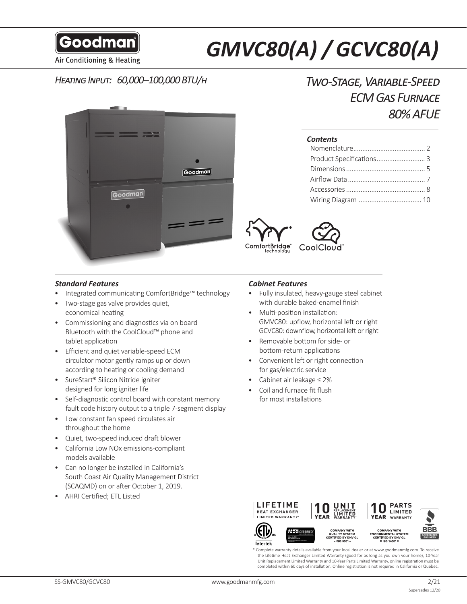Goodman

# *GMVC80(A) / GCVC80(A)*

Air Conditioning & Heating

# *Heating Input: 60,000–100,000 BTU/h*



# *Two-Stage, Variable-Speed ECM Gas Furnace 80% AFUE*

#### *Contents*

| Product Specifications 3 |  |
|--------------------------|--|
|                          |  |
|                          |  |
|                          |  |
|                          |  |
|                          |  |



#### *Standard Features*

- Integrated communicating ComfortBridge™ technology
- Two-stage gas valve provides quiet, economical heating
- Commissioning and diagnostics via on board Bluetooth with the CoolCloud™ phone and tablet application
- Efficient and quiet variable-speed ECM circulator motor gently ramps up or down according to heating or cooling demand
- SureStart® Silicon Nitride igniter designed for long igniter life
- Self-diagnostic control board with constant memory fault code history output to a triple 7-segment display
- Low constant fan speed circulates air throughout the home
- Quiet, two-speed induced draft blower
- California Low NOx emissions-compliant models available
- Can no longer be installed in California's South Coast Air Quality Management District (SCAQMD) on or after October 1, 2019.
- AHRI Certified; ETL Listed

#### *Cabinet Features*

- Fully insulated, heavy-gauge steel cabinet with durable baked-enamel finish
- Multi-position installation: GMVC80: upflow, horizontal left or right GCVC80: downflow, horizontal left or right
- Removable bottom for side- or bottom-return applications
- Convenient left or right connection for gas/electric service
- Cabinet air leakage ≤ 2%
- Coil and furnace fit flush for most installations



Intertek





YEAR WARRANTY

n

**PARTS** 

**LIMITED** 

QUALITY SYSTEM<br>CERTIFIED BY DNV GL **ACCREDITED** 

Complete warranty details available from your local dealer or at www.goodmanmfg.com. To receive the Lifetime Heat Exchanger Limited Warranty (good for as long as you own your home), 10-Year Unit Replacement Limited Warranty and 10-Year Parts Limited Warranty, online registration must be completed within 60 days of installation. Online registration is not required in California or Québec.

**BBB**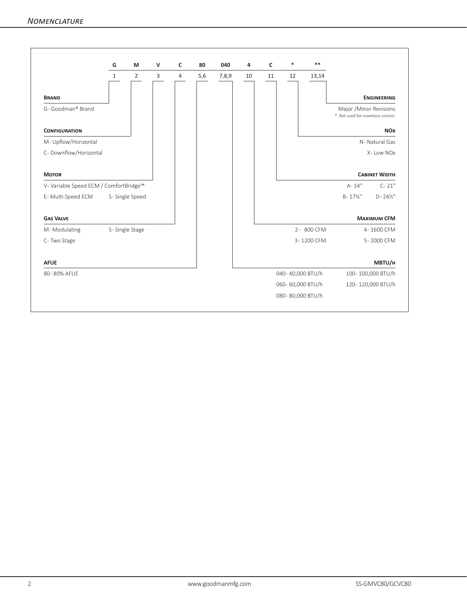|                                        | G              | M              | $\mathsf{V}$   | c | 80  | 040   | 4  | $\mathsf{C}$ | *                | $* *$      |                                                              |
|----------------------------------------|----------------|----------------|----------------|---|-----|-------|----|--------------|------------------|------------|--------------------------------------------------------------|
|                                        | $\mathbf{1}$   | $\overline{2}$ | $\overline{3}$ | 4 | 5,6 | 7,8,9 | 10 | 11           | 12               | 13,14      |                                                              |
| <b>BRAND</b>                           |                |                |                |   |     |       |    |              |                  |            | <b>ENGINEERING</b>                                           |
| G- Goodman® Brand                      |                |                |                |   |     |       |    |              |                  |            | Major / Minor Revisions<br>* Not used for inventory control. |
| <b>CONFIGURATION</b>                   |                |                |                |   |     |       |    |              |                  |            | <b>NOX</b>                                                   |
| M- Upflow/Horizontal                   |                |                |                |   |     |       |    |              |                  |            | N-Natural Gas                                                |
| C-Downflow/Horizontal                  |                |                |                |   |     |       |    |              |                  |            | X-Low NOx                                                    |
| <b>MOTOR</b>                           |                |                |                |   |     |       |    |              |                  |            | <b>CABINET WIDTH</b>                                         |
| V- Variable Speed ECM / ComfortBridge™ |                |                |                |   |     |       |    |              |                  |            | A-14"<br>$C - 21"$                                           |
| E-Multi-Speed ECM                      | S-Single Speed |                |                |   |     |       |    |              |                  |            | $B - 17\frac{1}{2}$<br>$D - 24\frac{1}{2}$ "                 |
| <b>GAS VALVE</b>                       |                |                |                |   |     |       |    |              |                  |            | <b>MAXIMUM CFM</b>                                           |
| M-Modulating                           | S-Single Stage |                |                |   |     |       |    |              |                  | 2-800 CFM  | 4-1600 CFM                                                   |
| C-Two Stage                            |                |                |                |   |     |       |    |              |                  | 3-1200 CFM | 5-2000 CFM                                                   |
| <b>AFUE</b>                            |                |                |                |   |     |       |    |              |                  |            | MBTU/H                                                       |
| 80-80% AFUE                            |                |                |                |   |     |       |    |              | 040-40,000 BTU/h |            | 100-100,000 BTU/h                                            |
|                                        |                |                |                |   |     |       |    |              | 060-60,000 BTU/h |            | 120-120,000 BTU/h                                            |
|                                        |                |                |                |   |     |       |    |              | 080-80,000 BTU/h |            |                                                              |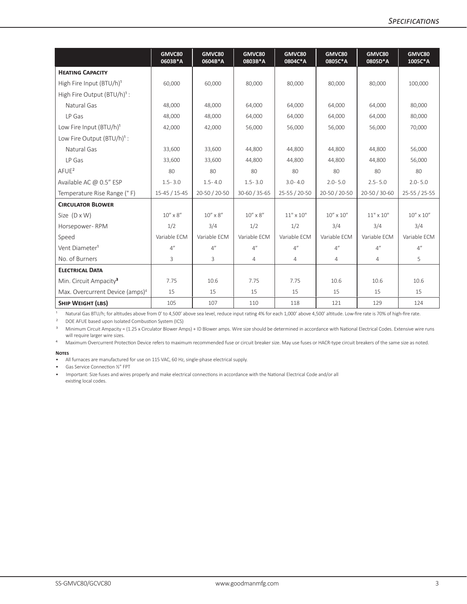|                                             | GMVC80<br>0603B*A | GMVC80<br>0604B*A | GMVC80<br>0803B*A | GMVC80<br>0804C*A | GMVC80<br>0805C*A  | GMVC80<br>0805D*A | GMVC80<br>1005C*A  |
|---------------------------------------------|-------------------|-------------------|-------------------|-------------------|--------------------|-------------------|--------------------|
| <b>HEATING CAPACITY</b>                     |                   |                   |                   |                   |                    |                   |                    |
| High Fire Input (BTU/h) <sup>1</sup>        | 60,000            | 60,000            | 80,000            | 80,000            | 80,000             | 80,000            | 100,000            |
| High Fire Output (BTU/h) <sup>1</sup> :     |                   |                   |                   |                   |                    |                   |                    |
| Natural Gas                                 | 48,000            | 48,000            | 64,000            | 64,000            | 64,000             | 64,000            | 80,000             |
| LP Gas                                      | 48,000            | 48,000            | 64,000            | 64,000            | 64,000             | 64,000            | 80,000             |
| Low Fire Input (BTU/h) <sup>1</sup>         | 42,000            | 42,000            | 56,000            | 56,000            | 56,000             | 56,000            | 70,000             |
| Low Fire Output (BTU/h) <sup>1</sup> :      |                   |                   |                   |                   |                    |                   |                    |
| Natural Gas                                 | 33,600            | 33,600            | 44,800            | 44,800            | 44,800             | 44,800            | 56,000             |
| LP Gas                                      | 33,600            | 33,600            | 44,800            | 44,800            | 44,800             | 44,800            | 56,000             |
| AFUE <sup>2</sup>                           | 80                | 80                | 80                | 80                | 80                 | 80                | 80                 |
| Available AC @ 0.5" ESP                     | $1.5 - 3.0$       | $1.5 - 4.0$       | $1.5 - 3.0$       | $3.0 - 4.0$       | $2.0 - 5.0$        | $2.5 - 5.0$       | $2.0 - 5.0$        |
| Temperature Rise Range (°F)                 | 15-45 / 15-45     | 20-50 / 20-50     | 30-60 / 35-65     | 25-55 / 20-50     | 20-50 / 20-50      | 20-50 / 30-60     | 25-55 / 25-55      |
| <b>CIRCULATOR BLOWER</b>                    |                   |                   |                   |                   |                    |                   |                    |
| Size $(D \times W)$                         | $10''\times8''$   | $10''$ x $8''$    | $10''$ x $8''$    | $11" \times 10"$  | $10'' \times 10''$ | $11" \times 10"$  | $10'' \times 10''$ |
| Horsepower-RPM                              | 1/2               | 3/4               | 1/2               | 1/2               | 3/4                | 3/4               | 3/4                |
| Speed                                       | Variable ECM      | Variable FCM      | Variable FCM      | Variable FCM      | Variable FCM       | Variable FCM      | Variable ECM       |
| Vent Diameter <sup>1</sup>                  | 4''               | 4"                | 4"                | 4"                | 4"                 | 4"                | 4"                 |
| No. of Burners                              | 3                 | 3                 | $\overline{4}$    | $\overline{4}$    | $\overline{4}$     | 4                 | 5                  |
| <b>ELECTRICAL DATA</b>                      |                   |                   |                   |                   |                    |                   |                    |
| Min. Circuit Ampacity <sup>3</sup>          | 7.75              | 10.6              | 7.75              | 7.75              | 10.6               | 10.6              | 10.6               |
| Max. Overcurrent Device (amps) <sup>4</sup> | 15                | 15                | 15                | 15                | 15                 | 15                | 15                 |
| <b>SHIP WEIGHT (LBS)</b>                    | 105               | 107               | 110               | 118               | 121                | 129               | 124                |

<sup>1</sup> Natural Gas BTU/h; for altitudes above from 0' to 4,500' above sea level, reduce input rating 4% for each 1,000' above 4,500' altitude. Low-fire rate is 70% of high-fire rate.

² DOE AFUE based upon Isolated Combustion System (ICS)

<sup>3</sup> Minimum Circuit Ampacity = (1.25 x Circulator Blower Amps) + ID Blower amps. Wire size should be determined in accordance with National Electrical Codes. Extensive wire runs will require larger wire sizes.

<sup>4</sup> Maximum Overcurrent Protection Device refers to maximum recommended fuse or circuit breaker size. May use fuses or HACR-type circuit breakers of the same size as noted.

#### **Notes**

• All furnaces are manufactured for use on 115 VAC, 60 Hz, single-phase electrical supply.

• Gas Service Connection ½" FPT

• Important: Size fuses and wires properly and make electrical connections in accordance with the National Electrical Code and/or all existing local codes.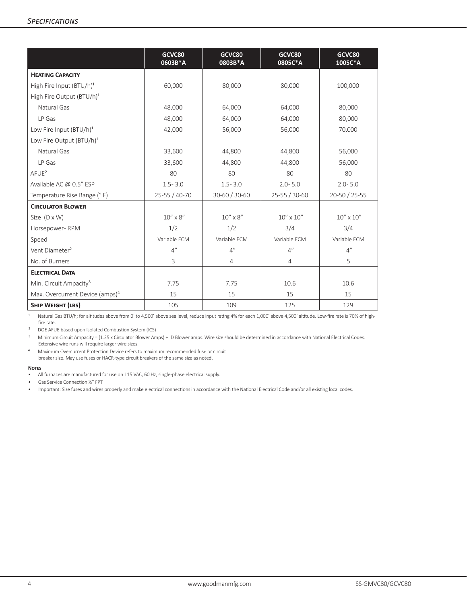|                                             | GCVC80<br>0603B*A | GCVC80<br>0803B*A | GCVC80<br>0805C*A  | GCVC80<br>1005C*A  |
|---------------------------------------------|-------------------|-------------------|--------------------|--------------------|
| <b>HEATING CAPACITY</b>                     |                   |                   |                    |                    |
| High Fire Input (BTU/h) <sup>1</sup>        | 60,000            | 80,000            | 80,000             | 100,000            |
| High Fire Output (BTU/h) <sup>1</sup>       |                   |                   |                    |                    |
| Natural Gas                                 | 48,000            | 64,000<br>64,000  |                    | 80,000             |
| LP Gas                                      | 48,000            | 64,000            | 64,000             | 80,000             |
| Low Fire Input (BTU/h) <sup>1</sup>         | 42,000            | 56,000            | 56,000             | 70,000             |
| Low Fire Output (BTU/h) <sup>1</sup>        |                   |                   |                    |                    |
| Natural Gas                                 | 33,600            | 44.800            | 44,800             | 56,000             |
| LP Gas                                      | 33,600            | 44,800            | 44,800             | 56,000             |
| AFUE <sup>2</sup>                           | 80                | 80                | 80                 | 80                 |
| Available AC @ 0.5" ESP                     | $1.5 - 3.0$       | $1.5 - 3.0$       | $2.0 - 5.0$        | $2.0 - 5.0$        |
| Temperature Rise Range (°F)                 | 25-55 / 40-70     | 30-60 / 30-60     | 25-55 / 30-60      | 20-50 / 25-55      |
| <b>CIRCULATOR BLOWER</b>                    |                   |                   |                    |                    |
| Size $(D \times W)$                         | $10'' \times 8''$ | $10'' \times 8''$ | $10'' \times 10''$ | $10'' \times 10''$ |
| Horsepower-RPM                              | 1/2               | 1/2               | 3/4                | 3/4                |
| Speed                                       | Variable ECM      | Variable ECM      | Variable ECM       | Variable ECM       |
| Vent Diameter <sup>2</sup>                  | 4"                | 4"                | 4"                 | 4"                 |
| No. of Burners                              | 3                 | $\overline{4}$    | $\overline{4}$     | 5                  |
| <b>ELECTRICAL DATA</b>                      |                   |                   |                    |                    |
| Min. Circuit Ampacity <sup>3</sup>          | 7.75              | 7.75              | 10.6               | 10.6               |
| Max. Overcurrent Device (amps) <sup>4</sup> | 15                | 15                | 15                 | 15                 |
| <b>SHIP WEIGHT (LBS)</b>                    | 105               | 109               | 125                | 129                |

1 Natural Gas BTU/h; for altitudes above from 0' to 4,500' above sea level, reduce input rating 4% for each 1,000' above 4,500' altitude. Low-fire rate is 70% of highfire rate.

² DOE AFUE based upon Isolated Combustion System (ICS)

<sup>3</sup> Minimum Circuit Ampacity = (1.25 x Circulator Blower Amps) + ID Blower amps. Wire size should be determined in accordance with National Electrical Codes. Extensive wire runs will require larger wire sizes.

⁴ Maximum Overcurrent Protection Device refers to maximum recommended fuse or circuit

breaker size. May use fuses or HACR-type circuit breakers of the same size as noted.

#### **Notes**

• Gas Service Connection ½" FPT

• Important: Size fuses and wires properly and make electrical connections in accordance with the National Electrical Code and/or all existing local codes.

<sup>•</sup> All furnaces are manufactured for use on 115 VAC, 60 Hz, single-phase electrical supply.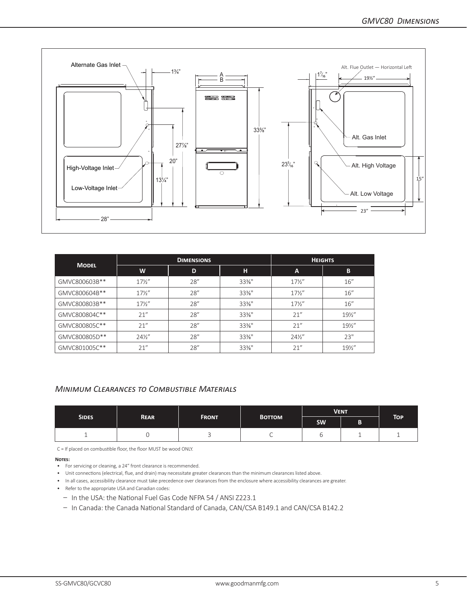

|               |                 | <b>DIMENSIONS</b> |                   | <b>HEIGHTS</b>  |                 |  |
|---------------|-----------------|-------------------|-------------------|-----------------|-----------------|--|
| <b>MODEL</b>  | W               | D                 | н                 | A               | B               |  |
| GMVC800603B** | $17\frac{1}{2}$ | 28''              | $33\%$ "          | $17\frac{1}{2}$ | 16''            |  |
| GMVC800604B** | $17\frac{1}{2}$ | 28''              | $33\%$ "          | $17\frac{1}{2}$ | 16''            |  |
| GMVC800803B** | $17\frac{1}{2}$ | 28''              | $33\frac{3}{8}$ " | $17\frac{1}{2}$ | 16''            |  |
| GMVC800804C** | 21''            | 28''              | $33\%$ "          | 21''            | $19\frac{1}{2}$ |  |
| GMVC800805C** | 21''            | 28''              | $33\%$ "          | 21''            | $19\%$ "        |  |
| GMVC800805D** | $24\frac{1}{2}$ | 28"               | $33\%$ "          | $24\frac{1}{2}$ | 23"             |  |
| GMVC801005C** | 21''            | 28''              | $33%$ "           | 21''            | $19\%$ "        |  |

#### *Minimum Clearances to Combustible Materials*

|              |             |              |               | <b>VENT</b> |  |            |  |
|--------------|-------------|--------------|---------------|-------------|--|------------|--|
| <b>SIDES</b> | <b>REAR</b> | <b>FRONT</b> | <b>BOTTOM</b> | <b>SW</b>   |  | <b>TOP</b> |  |
|              |             |              |               |             |  |            |  |

C = If placed on combustible floor, the floor MUST be wood ONLY.

**Notes:**

- For servicing or cleaning, a 24" front clearance is recommended.
- Unit connections (electrical, flue, and drain) may necessitate greater clearances than the minimum clearances listed above.
- In all cases, accessibility clearance must take precedence over clearances from the enclosure where accessibility clearances are greater.
- Refer to the appropriate USA and Canadian codes:
	- In the USA: the National Fuel Gas Code NFPA 54 / ANSI Z223.1
	- In Canada: the Canada National Standard of Canada, CAN/CSA B149.1 and CAN/CSA B142.2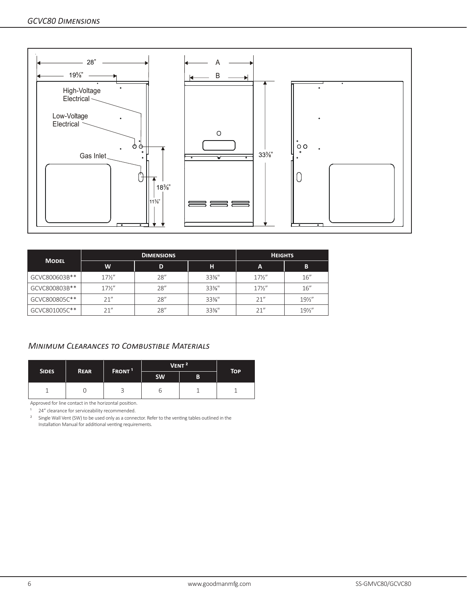

|               |                 | <b>DIMENSIONS</b> | <b>HEIGHTS</b> |                 |                 |
|---------------|-----------------|-------------------|----------------|-----------------|-----------------|
| <b>MODEL</b>  | W               | D                 | н.             | A               | В               |
| GCVC800603B** | $17\frac{1}{2}$ | 28''              | $33\%$ "       | $17\frac{1}{2}$ | 16''            |
| GCVC800803B** | $17\frac{1}{2}$ | 28''              | $33\%$ "       | $17\frac{1}{2}$ | 16''            |
| GCVC800805C** | 21''            | 28''              | $33\%$ "       | 21"             | $19\frac{1}{2}$ |
| GCVC801005C** | 21''            | 28''              | $33\%$ "       | 21''            | $19\frac{1}{2}$ |

### *Minimum Clearances to Combustible Materials*

|              | <b>REAR</b> | FRONT <sup>1</sup> |           | VENT <sup>2</sup> | <b>TOP</b> |
|--------------|-------------|--------------------|-----------|-------------------|------------|
| <b>SIDES</b> |             |                    | <b>SW</b> | B                 |            |
|              |             | ◡                  |           |                   |            |

Approved for line contact in the horizontal position.

<sup>1</sup> 24" clearance for serviceability recommended.

<sup>2</sup> Single Wall Vent (SW) to be used only as a connector. Refer to the venting tables outlined in the Installation Manual for additional venting requirements.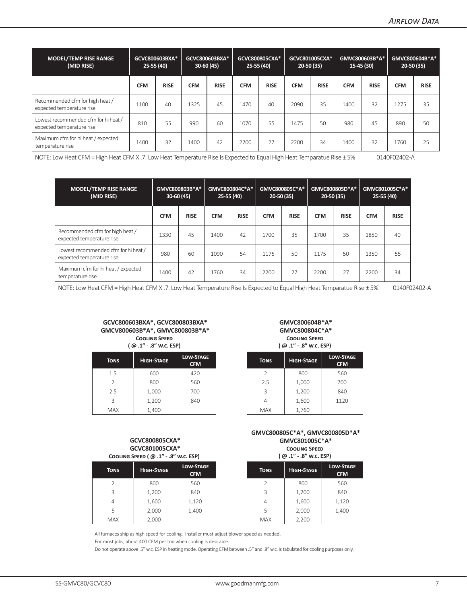| <b>MODEL/TEMP RISE RANGE</b><br>(MID RISE)                        | GCVC800603BXA*<br>25-55 (40) |             | GCVC800603BXA*<br>GCVC800805CXA*<br>$25-55(40)$<br>$30-60(45)$ |             |            | GCVC801005CXA*<br>$20-50(35)$ |            | GMVC800603B*A*<br>15-45 (30) |            | GMVC800604B*A*<br>$20-50(35)$ |            |             |
|-------------------------------------------------------------------|------------------------------|-------------|----------------------------------------------------------------|-------------|------------|-------------------------------|------------|------------------------------|------------|-------------------------------|------------|-------------|
|                                                                   | <b>CFM</b>                   | <b>RISE</b> | <b>CFM</b>                                                     | <b>RISE</b> | <b>CFM</b> | <b>RISE</b>                   | <b>CFM</b> | <b>RISE</b>                  | <b>CFM</b> | <b>RISE</b>                   | <b>CFM</b> | <b>RISE</b> |
| Recommended cfm for high heat /<br>expected temperature rise      | 1100                         | 40          | 1325                                                           | 45          | 1470       | 40                            | 2090       | 35                           | 1400       | 32                            | 1275       | 35          |
| Lowest recommended cfm for hi heat /<br>expected temperature rise | 810                          | 55          | 990                                                            | 60          | 1070       | 55                            | 1475       | 50                           | 980        | 45                            | 890        | 50          |
| Maximum cfm for hi heat / expected<br>temperature rise            | 1400                         | 32          | 1400                                                           | 42          | 2200       | 27                            | 2200       | 34                           | 1400       | 32                            | 1760       | 25          |

NOTE: Low Heat CFM = High Heat CFM X .7. Low Heat Temperature Rise Is Expected to Equal High Heat Temparatue Rise ± 5% 0140F02402-A

| <b>MODEL/TEMP RISE RANGE</b><br>(MID RISE)                        | GMVC800803B*A*<br>$30-60(45)$ |             | GMVC800804C*A*<br>$25-55(40)$ |             |            | GMVC800805C*A*<br>$20-50(35)$ |            | GMVC800805D*A*<br>$20-50(35)$ |            | GMVC801005C*A*<br>25-55 (40) |  |
|-------------------------------------------------------------------|-------------------------------|-------------|-------------------------------|-------------|------------|-------------------------------|------------|-------------------------------|------------|------------------------------|--|
|                                                                   | <b>CFM</b>                    | <b>RISE</b> | <b>CFM</b>                    | <b>RISE</b> | <b>CFM</b> | <b>RISE</b>                   | <b>CFM</b> | <b>RISE</b>                   | <b>CFM</b> | <b>RISE</b>                  |  |
| Recommended cfm for high heat /<br>expected temperature rise      | 1330                          | 45          | 1400                          | 42          | 1700       | 35                            | 1700       | 35                            | 1850       | 40                           |  |
| Lowest recommended cfm for hi heat /<br>expected temperature rise | 980                           | 60          | 1090                          | 54          | 1175       | 50                            | 1175       | 50                            | 1350       | 55                           |  |
| Maximum cfm for hi heat / expected<br>temperature rise            | 1400                          | 42          | 1760                          | 34          | 2200       | 27                            | 2200       | 27                            | 2200       | 34                           |  |

NOTE: Low Heat CFM = High Heat CFM X .7. Low Heat Temperature Rise Is Expected to Equal High Heat Temparatue Rise ± 5% 0140F02402-A

#### **GCVC800603BXA\*, GCVC800803BXA\* GMCV800603B\*A\*, GMVC800803B\*A\* Cooling Speed**

**( @ .1" - .8" w.c. ESP)**

| <b>TONS</b>   | <b>HIGH-STAGE</b> | <b>LOW-STAGE</b><br><b>CFM</b> | <b>TONS</b> | <b>HIGH-STAGE</b> |
|---------------|-------------------|--------------------------------|-------------|-------------------|
| 1.5           | 600               | 420                            | C.          | 800               |
| $\mathcal{P}$ | 800               | 560                            | 2.5         | 1,000             |
| 2.5           | 1,000             | 700                            | 3           | 1,200             |
| 3             | 1,200             | 840                            | 4           | 1,600             |
| <b>MAX</b>    | 1,400             |                                | <b>MAX</b>  | 1,760             |

#### **GMVC800604B\*A\* GMVC800804C\*A\* Cooling Speed ( @ .1" - .8" w.c. ESP)**

| <b>N-STAGE</b><br><b>CFM</b> | <b>TONS</b>   | <b>HIGH-STAGE</b> | <b>LOW-STAGE</b><br><b>CFM</b> |
|------------------------------|---------------|-------------------|--------------------------------|
| 420                          | $\mathcal{P}$ | 800               | 560                            |
| 560                          | 2.5           | 1,000             | 700                            |
| 700                          | 3             | 1,200             | 840                            |
| 840                          | 4             | 1,600             | 1120                           |
|                              | <b>MAX</b>    | 1,760             |                                |

#### **GCVC800805CXA\* GCVC801005CXA\* Cooling Speed ( @ .1" - .8" w.c. ESP)**

| <b>TONS</b>   | <b>HIGH-STAGE</b> | <b>LOW-STAGE</b><br><b>CFM</b> | <b>TONS</b> | <b>HIGH-STAGE</b> |
|---------------|-------------------|--------------------------------|-------------|-------------------|
| $\mathcal{P}$ | 800               | 560                            |             | 800               |
| 3             | 1,200             | 840                            | 3           | 1,200             |
| 4             | 1,600             | 1,120                          | 4           | 1,600             |
| 5             | 2,000             | 1,400                          | 5           | 2,000             |
| <b>MAX</b>    | 2,000             |                                | <b>MAX</b>  | 2,200             |

**GMVC800805C\*A\*, GMVC800805D\*A\* GMVC801005C\*A\* Cooling Speed** 

**( @ .1" - .8" w.c. ESP)**

| <b>N-STAGE</b><br><b>CFM</b> | <b>TONS</b>   | <b>HIGH-STAGE</b> | <b>LOW-STAGE</b><br><b>CFM</b> |
|------------------------------|---------------|-------------------|--------------------------------|
| 560                          | $\mathcal{P}$ | 800               | 560                            |
| 840                          | 3             | 1,200             | 840                            |
| L,120                        | 4             | 1,600             | 1,120                          |
| L,400                        | 5             | 2,000             | 1,400                          |
|                              | <b>MAX</b>    | 2,200             |                                |

All furnaces ship as high speed for cooling. Installer must adjust blower speed as needed.

For most jobs, about 400 CFM per ton when cooling is desirable.

Do not operate above .5" w.c. ESP in heating mode. Operating CFM between .5" and .8" w.c. is tabulated for cooling purposes only.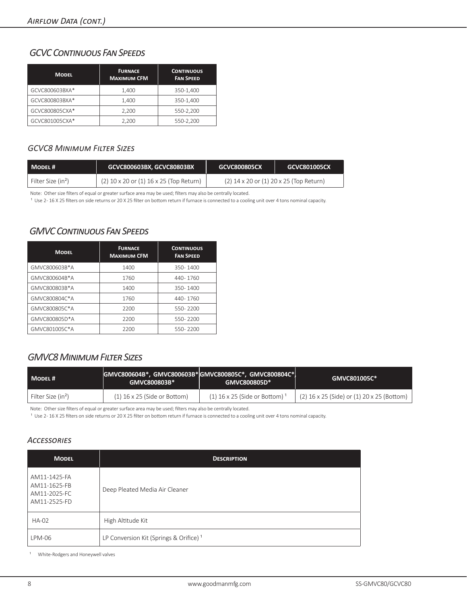# *GCVC Continuous Fan Speeds*

| <b>MODEL</b>   | <b>FURNACE</b><br><b>MAXIMUM CFM</b> | <b>CONTINUOUS</b><br><b>FAN SPEED</b> |
|----------------|--------------------------------------|---------------------------------------|
| GCVC800603BXA* | 1,400                                | 350-1,400                             |
| GCVC800803BXA* | 1.400                                | 350-1.400                             |
| GCVC800805CXA* | 2.200                                | 550-2,200                             |
| GCVC801005CXA* | 2,200                                | 550-2,200                             |

#### *GCVC8 Minimum Filter Sizes*

| MODEL#                           | GCVC800603BX, GCVC80803BX               | GCVC800805CX                                | GCVC801005CX |
|----------------------------------|-----------------------------------------|---------------------------------------------|--------------|
| l Filter Size (in <sup>2</sup> ) | (2) 10 x 20 or (1) 16 x 25 (Top Return) | $(2)$ 14 x 20 or $(1)$ 20 x 25 (Top Return) |              |

Note: Other size filters of equal or greater surface area may be used; filters may also be centrally located.

<sup>1</sup> Use 2-16 X 25 filters on side returns or 20 X 25 filter on bottom return if furnace is connected to a cooling unit over 4 tons nominal capacity.

# *GMVC Continuous Fan Speeds*

| <b>MODEL</b>  | <b>FURNACE</b><br><b>MAXIMUM CFM</b> | <b>CONTINUOUS</b><br><b>FAN SPEED</b> |
|---------------|--------------------------------------|---------------------------------------|
| GMVC800603B*A | 1400                                 | 350-1400                              |
| GMVC800604B*A | 1760                                 | 440-1760                              |
| GMVC800803B*A | 1400                                 | 350-1400                              |
| GMVC800804C*A | 1760                                 | 440-1760                              |
| GMVC800805C*A | 2200                                 | 550-2200                              |
| GMVC800805D*A | 2200                                 | 550-2200                              |
| GMVC801005C*A | 2200                                 | 550-2200                              |

# *GMVC8 Minimum Filter Sizes*

| MODEL#                         | GMVC800604B*, GMVC800603B* GMVC800805C*, GMVC800804C*  <br>GMVC800803B* | GMVC800805D*                   | GMVC801005C*                               |
|--------------------------------|-------------------------------------------------------------------------|--------------------------------|--------------------------------------------|
| Filter Size (in <sup>2</sup> ) | $(1)$ 16 x 25 (Side or Bottom)                                          | $(1)$ 16 x 25 (Side or Bottom) | (2) 16 x 25 (Side) or (1) 20 x 25 (Bottom) |

Note: Other size filters of equal or greater surface area may be used; filters may also be centrally located.

<sup>1</sup> Use 2-16 X 25 filters on side returns or 20 X 25 filter on bottom return if furnace is connected to a cooling unit over 4 tons nominal capacity.

## *Accessories*

| <b>MODEL</b>                                                 | <b>DESCRIPTION</b>                                 |
|--------------------------------------------------------------|----------------------------------------------------|
| AM11-1425-FA<br>AM11-1625-FB<br>AM11-2025-FC<br>AM11-2525-FD | Deep Pleated Media Air Cleaner                     |
| <b>HA-02</b>                                                 | High Altitude Kit                                  |
| $LPM-06$                                                     | LP Conversion Kit (Springs & Orifice) <sup>1</sup> |

<sup>1</sup> White-Rodgers and Honeywell valves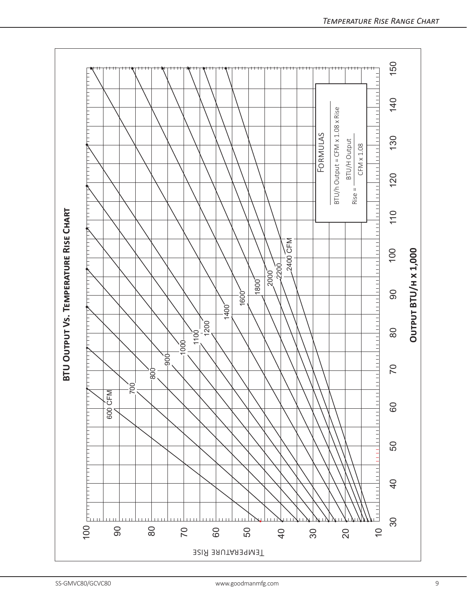